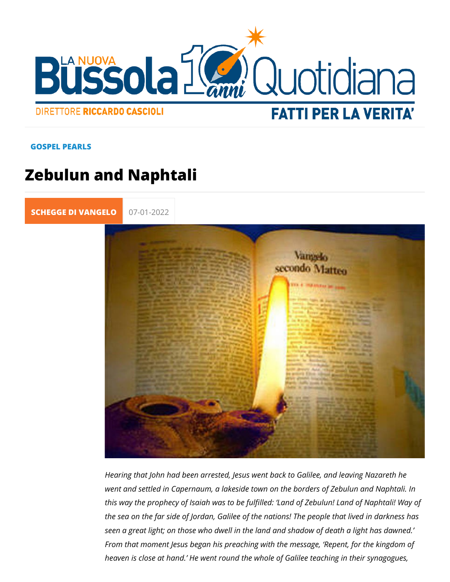## GOSPEL PEARLS

## Zebulun and Naphtali

[SCHEGGE DI VA](https://lanuovabq.it/it/schegge-di-vangelo) 07-01-2022

Hearing that John had been arrested, Jesus went back to Galil went and settled in Capernaum, a lakeside town on the borders this way the prophecy of Isaiah was to be fulfilled: Land of Ze the sea on the far side of Jordan, Galilee of the nations! The seen a great light; on those who dwell in the land and shadow From that moment Jesus began his preaching with the message heaven is close at hand. He went round the whole of Galilee t